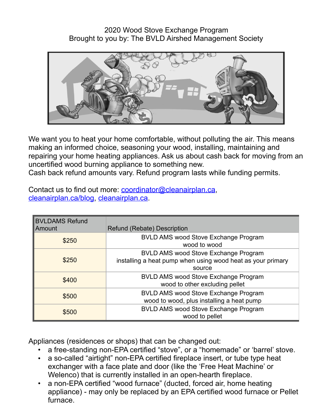2020 Wood Stove Exchange Program Brought to you by: The BVLD Airshed Management Society



We want you to heat your home comfortable, without polluting the air. This means making an informed choice, seasoning your wood, installing, maintaining and repairing your home heating appliances. Ask us about cash back for moving from an uncertified wood burning appliance to something new.

Cash back refund amounts vary. Refund program lasts while funding permits.

| Contact us to find out more: coordinator@cleanairplan.ca, |  |
|-----------------------------------------------------------|--|
| cleanairplan.ca/blog, cleanairplan.ca.                    |  |

| <b>BVLDAMS Refund</b><br>Amount | Refund (Rebate) Description                                                                                   |
|---------------------------------|---------------------------------------------------------------------------------------------------------------|
| \$250                           | <b>BVLD AMS wood Stove Exchange Program</b><br>wood to wood                                                   |
| \$250                           | BVLD AMS wood Stove Exchange Program<br>installing a heat pump when using wood heat as your primary<br>source |
| \$400                           | <b>BVLD AMS wood Stove Exchange Program</b><br>wood to other excluding pellet                                 |
| \$500                           | <b>BVLD AMS wood Stove Exchange Program</b><br>wood to wood, plus installing a heat pump                      |
| \$500                           | <b>BVLD AMS wood Stove Exchange Program</b><br>wood to pellet                                                 |

Appliances (residences or shops) that can be changed out:

- a free-standing non-EPA certified "stove", or a "homemade" or 'barrel' stove.
- a so-called "airtight" non-EPA certified fireplace insert, or tube type heat exchanger with a face plate and door (like the 'Free Heat Machine' or Welenco) that is currently installed in an open-hearth fireplace.
- a non-EPA certified "wood furnace" (ducted, forced air, home heating appliance) - may only be replaced by an EPA certified wood furnace or Pellet furnace.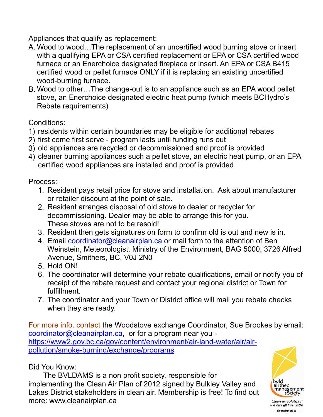Appliances that qualify as replacement:

- A. Wood to wood…The replacement of an uncertified wood burning stove or insert with a qualifying EPA or CSA certified replacement or EPA or CSA certified wood furnace or an Enerchoice designated fireplace or insert. An EPA or CSA B415 certified wood or pellet furnace ONLY if it is replacing an existing uncertified wood-burning furnace.
- B. Wood to other…The change-out is to an appliance such as an EPA wood pellet stove, an Enerchoice designated electric heat pump (which meets BCHydro's Rebate requirements)

Conditions:

- 1) residents within certain boundaries may be eligible for additional rebates
- 2) first come first serve program lasts until funding runs out
- 3) old appliances are recycled or decommissioned and proof is provided
- 4) cleaner burning appliances such a pellet stove, an electric heat pump, or an EPA certified wood appliances are installed and proof is provided

Process:

- 1. Resident pays retail price for stove and installation. Ask about manufacturer or retailer discount at the point of sale.
- 2. Resident arranges disposal of old stove to dealer or recycler for decommissioning. Dealer may be able to arrange this for you. These stoves are not to be resold!
- 3. Resident then gets signatures on form to confirm old is out and new is in.
- 4. Email [coordinator@cleanairplan.ca](mailto:coordinator@cleanairplan.ca) or mail form to the attention of Ben Weinstein, Meteorologist, Ministry of the Environment, BAG 5000, 3726 Alfred Avenue, Smithers, BC, V0J 2N0
- 5. Hold ON!
- 6. The coordinator will determine your rebate qualifications, email or notify you of receipt of the rebate request and contact your regional district or Town for fulfillment.
- 7. The coordinator and your Town or District office will mail you rebate checks when they are ready.

For more info. contact the Woodstove exchange Coordinator, Sue Brookes by email: [coordinator@cleanairplan.ca](mailto:coordinator@cleanairplan.ca), or for a program near you [https://www2.gov.bc.ca/gov/content/environment/air-land-water/air/air](http://bcairquality.ca)pollution/smoke-burning/exchange/programs

## Did You Know:

 The BVLDAMS is a non profit society, responsible for implementing the Clean Air Plan of 2012 signed by Bulkley Valley and Lakes District stakeholders in clean air. Membership is free! To find out more: www.cleanairplan.ca



Clean air solutions we can all live with! cleanairplan.ca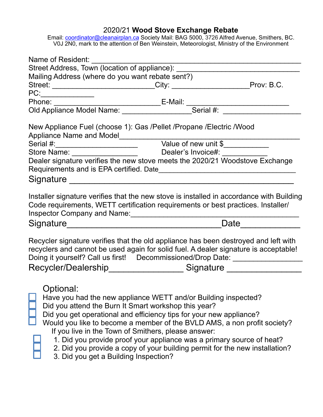## 2020/21 **Wood Stove Exchange Rebate**

Email: [coordinator@cleanairplan.ca](mailto:coordinator@cleanairplan.ca) Society Mail: BAG 5000, 3726 Alfred Avenue, Smithers, BC. V0J 2N0, mark to the attention of Ben Weinstein, Meteorologist, Ministry of the Environment

| Name of Resident:                                                                                                                                                                                                                                                                                                                                                                                                                                               |                                                                             |
|-----------------------------------------------------------------------------------------------------------------------------------------------------------------------------------------------------------------------------------------------------------------------------------------------------------------------------------------------------------------------------------------------------------------------------------------------------------------|-----------------------------------------------------------------------------|
| Street Address, Town (location of appliance): __________________________________                                                                                                                                                                                                                                                                                                                                                                                |                                                                             |
| Mailing Address (where do you want rebate sent?)                                                                                                                                                                                                                                                                                                                                                                                                                |                                                                             |
| Street: ___________________________City: _______________________Prov: B.C.                                                                                                                                                                                                                                                                                                                                                                                      |                                                                             |
| PC:                                                                                                                                                                                                                                                                                                                                                                                                                                                             |                                                                             |
|                                                                                                                                                                                                                                                                                                                                                                                                                                                                 |                                                                             |
|                                                                                                                                                                                                                                                                                                                                                                                                                                                                 |                                                                             |
| New Appliance Fuel (choose 1): Gas /Pellet /Propane /Electric /Wood                                                                                                                                                                                                                                                                                                                                                                                             |                                                                             |
|                                                                                                                                                                                                                                                                                                                                                                                                                                                                 |                                                                             |
|                                                                                                                                                                                                                                                                                                                                                                                                                                                                 |                                                                             |
| Store Name: __________________________________Dealer's Invoice#: __________                                                                                                                                                                                                                                                                                                                                                                                     |                                                                             |
| Dealer signature verifies the new stove meets the 2020/21 Woodstove Exchange                                                                                                                                                                                                                                                                                                                                                                                    |                                                                             |
|                                                                                                                                                                                                                                                                                                                                                                                                                                                                 |                                                                             |
| Installer signature verifies that the new stove is installed in accordance with Building<br>Code requirements, WETT certification requirements or best practices. Installer/<br>Inspector Company and Name: [19] Manneletter and the set of the set of the set of the set of the set of the set of the set of the set of the set of the set of the set of the set of the set of the set of the set of the set                                                   |                                                                             |
|                                                                                                                                                                                                                                                                                                                                                                                                                                                                 | Date                                                                        |
| Recycler signature verifies that the old appliance has been destroyed and left with<br>recyclers and cannot be used again for solid fuel. A dealer signature is acceptable!<br>Doing it yourself? Call us first! Decommissioned/Drop Date: ____________________                                                                                                                                                                                                 |                                                                             |
| Recycler/Dealership__________________Signature __________________                                                                                                                                                                                                                                                                                                                                                                                               |                                                                             |
| Optional:<br>Have you had the new appliance WETT and/or Building inspected?<br>Did you attend the Burn It Smart workshop this year?<br>Did you get operational and efficiency tips for your new appliance?<br>Would you like to become a member of the BVLD AMS, a non profit society?<br>If you live in the Town of Smithers, please answer:<br>1. Did you provide proof your appliance was a primary source of heat?<br>3. Did you get a Building Inspection? | 2. Did you provide a copy of your building permit for the new installation? |
|                                                                                                                                                                                                                                                                                                                                                                                                                                                                 |                                                                             |